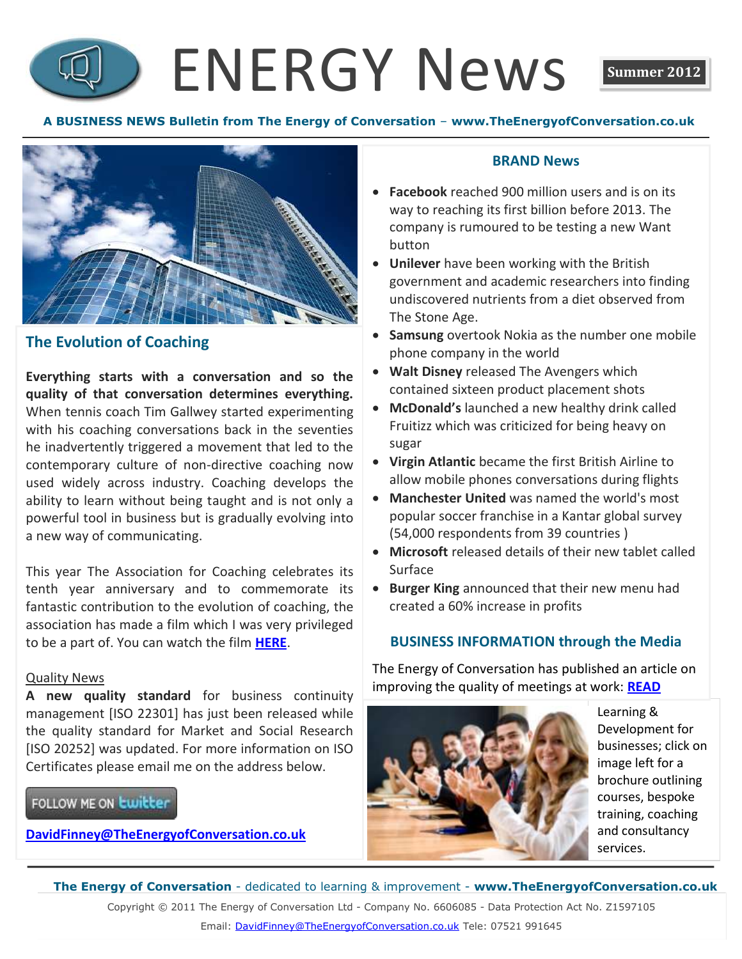# ENERGY News **Summer 2012**



# **The Evolution of Coaching**

**Everything starts with a conversation and so the quality of that conversation determines everything.**  When tennis coach Tim Gallwey started experimenting with his coaching conversations back in the seventies he inadvertently triggered a movement that led to the contemporary culture of non-directive coaching now used widely across industry. Coaching develops the ability to learn without being taught and is not only a powerful tool in business but is gradually evolving into a new way of communicating.

This year The Association for Coaching celebrates its tenth year anniversary and to commemorate its fantastic contribution to the evolution of coaching, the association has made a film which I was very privileged to be a part of. You can watch the film **[HERE](http://www.youtube.com/watch?v=u9UyhR2EACg&feature=plcp)**.

### Quality News

**A new quality standard** for business continuity management [ISO 22301] has just been released while the quality standard for Market and Social Research [ISO 20252] was updated. For more information on ISO Certificates please email me on the address below.

# FOLLOW ME ON **Lwitter**

**[DavidFinney@TheEnergyofConversation.co.uk](mailto:DavidFinney@TheEnergyofConversation.co.uk)**

# **BRAND News**

- **Facebook** reached 900 million users and is on its way to reaching its first billion before 2013. The company is rumoured to be testing a new Want button
- **Unilever** have been working with the British government and academic researchers into finding undiscovered nutrients from a diet observed from The Stone Age.
- **Samsung** overtook Nokia as the number one mobile phone company in the world
- **Walt Disney** released The Avengers which contained sixteen product placement shots
- **McDonald's** launched a new healthy drink called Fruitizz which was criticized for being heavy on sugar
- **Virgin Atlantic** became the first British Airline to allow mobile phones conversations during flights
- **Manchester United** was named the world's most popular soccer franchise in a Kantar global survey (54,000 respondents from 39 countries )
- **Microsoft** released details of their new tablet called Surface
- **Burger King** announced that their new menu had created a 60% increase in profits

## **BUSINESS INFORMATION through the Media**

The Energy of Conversation has published an article on improving the quality of meetings at work: **[READ](http://www.theenergyofconversation.co.uk/Join%20the%20Conversation.pdf)**



Learning & Development for businesses; click on image left for a brochure outlining courses, bespoke training, coaching and consultancy services.

**The Energy of Conversation** - dedicated to learning & improvement - **www.TheEnergyofConversation.co.uk** Copyright © 2011 The Energy of Conversation Ltd - Company No. 6606085 - Data Protection Act No. Z1597105 Email: [DavidFinney@TheEnergyofConversation.co.uk](mailto:DavidFinney@TheEnergyofConversation.co.uk) Tele: 07521 991645